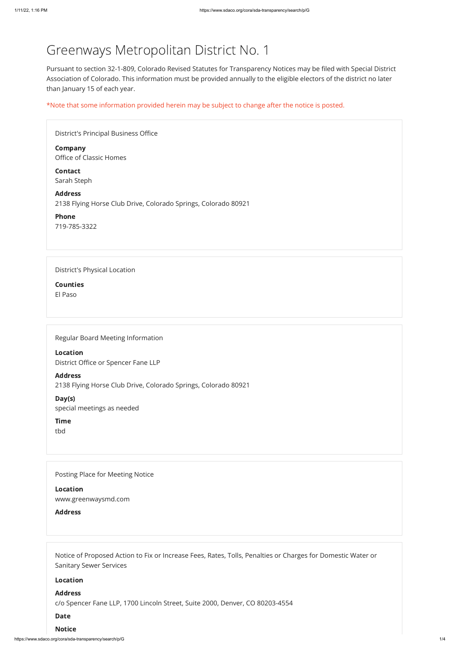https://www.sdaco.org/cora/sda-transparency/search/p/G 1/4

# Greenways Metropolitan District No. 1

Pursuant to section 32-1-809, Colorado Revised Statutes for Transparency Notices may be filed with Special District Association of Colorado. This information must be provided annually to the eligible electors of the district no later than January 15 of each year.

\*Note that some information provided herein may be subject to change after the notice is posted.

| <b>District's Principal Business Office</b>                                      |
|----------------------------------------------------------------------------------|
| <b>Company</b><br>Office of Classic Homes                                        |
| <b>Contact</b><br>Sarah Steph                                                    |
| <b>Address</b><br>2138 Flying Horse Club Drive, Colorado Springs, Colorado 80921 |
| <b>Phone</b><br>719-785-3322                                                     |
|                                                                                  |
| District's Physical Location                                                     |
| <b>Counties</b>                                                                  |
| El Paso                                                                          |
|                                                                                  |
|                                                                                  |
| Regular Board Meeting Information                                                |
| <b>Location</b>                                                                  |

District Office or Spencer Fane LLP

Address 2138 Flying Horse Club Drive, Colorado Springs, Colorado 80921

Day(s)

special meetings as needed

Time

tbd

Posting Place for Meeting Notice

Location

www.greenwaysmd.com

**Address** 

Notice of Proposed Action to Fix or Increase Fees, Rates, Tolls, Penalties or Charges for Domestic Water or Sanitary Sewer Services

Location

#### Address

c/o Spencer Fane LLP, 1700 Lincoln Street, Suite 2000, Denver, CO 80203-4554

#### Date

#### Notice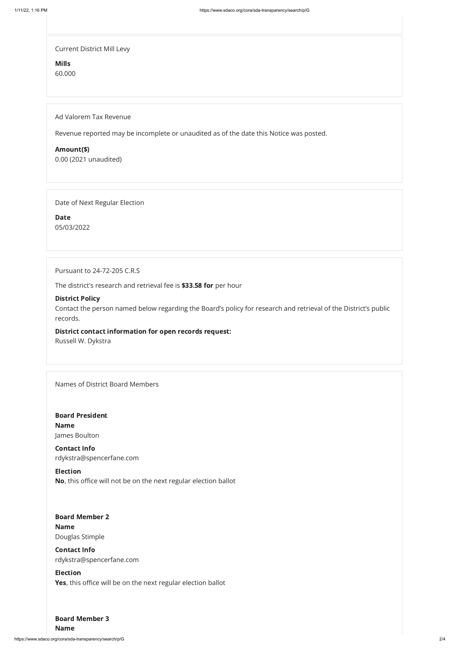https://www.sdaco.org/cora/sda-transparency/search/p/G 2/4

Current District Mill Levy

Mills

60.000

Ad Valorem Tax Revenue

Revenue reported may be incomplete or unaudited as of the date this Notice was posted.

Amount(\$)

0.00 (2021 unaudited)

Date of Next Regular Election

Date 05/03/2022

Pursuant to 24-72-205 C.R.S

The district's research and retrieval fee is \$33.58 for per hour

### District Policy

Contact the person named below regarding the Board's policy for research and retrieval of the District's public records.

#### District contact information for open records request:

Russell W. Dykstra

Names of District Board Members

# Board Member 2

Board President Name James Boulton

## Board Member 3

Contact Info rdykstra@spencerfane.com

Election No, this office will not be on the next regular election ballot

## Name

Douglas Stimple

## Contact Info

rdykstra@spencerfane.com

## Election

Yes, this office will be on the next regular election ballot

Name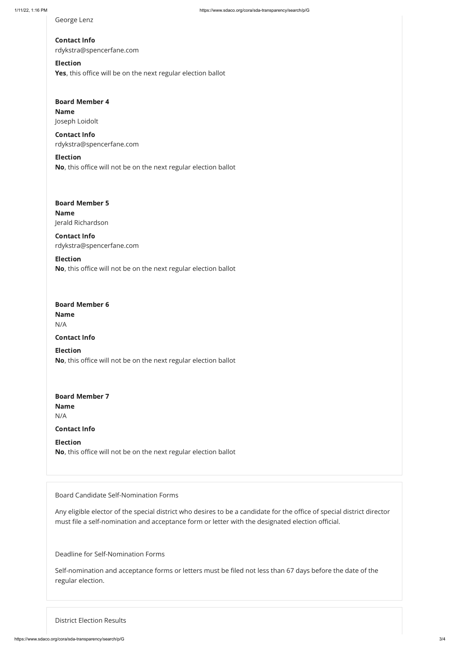Election Yes, this office will be on the next regular election ballot

## Board Member 6

George Lenz

# Contact Info rdykstra@spencerfane.com

# Board Member 4 Name Joseph Loidolt

# Board Member 5 Name Jerald Richardson

Contact Info rdykstra@spencerfane.com

## Election

No, this office will not be on the next regular election ballot

# Board Member 7 Name N/A

Contact Info rdykstra@spencerfane.com

## Election No, this office will not be on the next regular election ballot

Name N/A

## Contact Info

Election No, this office will not be on the next regular election ballot

Contact Info

Election No, this office will not be on the next regular election ballot

Board Candidate Self-Nomination Forms

Any eligible elector of the special district who desires to be a candidate for the office of special district director must file a self-nomination and acceptance form or letter with the designated election official.

Deadline for Self-Nomination Forms

Self-nomination and acceptance forms or letters must be filed not less than 67 days before the date of the regular election.

District Election Results